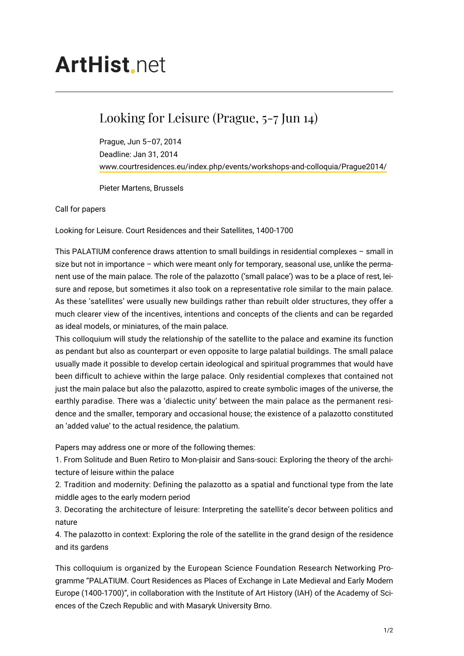## **ArtHist** net

## Looking for Leisure (Prague, 5-7 Jun 14)

Prague, Jun 5–07, 2014 Deadline: Jan 31, 2014 [www.courtresidences.eu/index.php/events/workshops-and-colloquia/Prague2014/](http://www.courtresidences.eu/index.php/events/workshops-and-colloquia/Prague2014/)

Pieter Martens, Brussels

Call for papers

Looking for Leisure. Court Residences and their Satellites, 1400-1700

This PALATIUM conference draws attention to small buildings in residential complexes – small in size but not in importance – which were meant only for temporary, seasonal use, unlike the permanent use of the main palace. The role of the palazotto ('small palace') was to be a place of rest, leisure and repose, but sometimes it also took on a representative role similar to the main palace. As these 'satellites' were usually new buildings rather than rebuilt older structures, they offer a much clearer view of the incentives, intentions and concepts of the clients and can be regarded as ideal models, or miniatures, of the main palace.

This colloquium will study the relationship of the satellite to the palace and examine its function as pendant but also as counterpart or even opposite to large palatial buildings. The small palace usually made it possible to develop certain ideological and spiritual programmes that would have been difficult to achieve within the large palace. Only residential complexes that contained not just the main palace but also the palazotto, aspired to create symbolic images of the universe, the earthly paradise. There was a 'dialectic unity' between the main palace as the permanent residence and the smaller, temporary and occasional house; the existence of a palazotto constituted an 'added value' to the actual residence, the palatium.

Papers may address one or more of the following themes:

1. From Solitude and Buen Retiro to Mon-plaisir and Sans-souci: Exploring the theory of the architecture of leisure within the palace

2. Tradition and modernity: Defining the palazotto as a spatial and functional type from the late middle ages to the early modern period

3. Decorating the architecture of leisure: Interpreting the satellite's decor between politics and nature

4. The palazotto in context: Exploring the role of the satellite in the grand design of the residence and its gardens

This colloquium is organized by the European Science Foundation Research Networking Programme "PALATIUM. Court Residences as Places of Exchange in Late Medieval and Early Modern Europe (1400-1700)", in collaboration with the Institute of Art History (IAH) of the Academy of Sciences of the Czech Republic and with Masaryk University Brno.